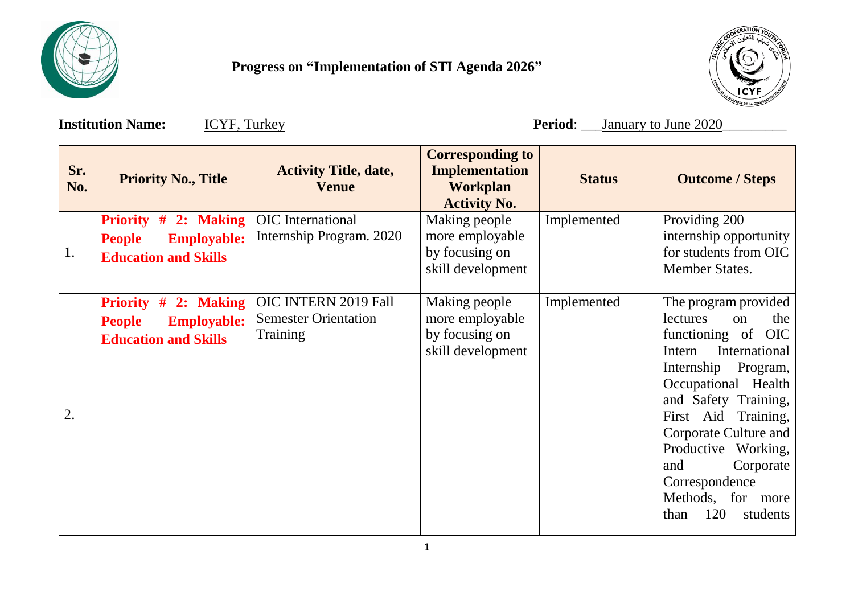

 **Progress on "Implementation of STI Agenda 2026"**



**Institution Name:**  $\underline{ICYF, Turkey}$  **Period**: \_\_\_January to June 2020

| Sr.<br>No. | <b>Priority No., Title</b>                                                                 | <b>Activity Title, date,</b><br><b>Venue</b>                           | <b>Corresponding to</b><br><b>Implementation</b><br><b>Workplan</b><br><b>Activity No.</b> | <b>Status</b> | <b>Outcome / Steps</b>                                                                                                                                                                                                                                                                                                                     |
|------------|--------------------------------------------------------------------------------------------|------------------------------------------------------------------------|--------------------------------------------------------------------------------------------|---------------|--------------------------------------------------------------------------------------------------------------------------------------------------------------------------------------------------------------------------------------------------------------------------------------------------------------------------------------------|
| 1.         | Priority # 2: Making<br><b>Employable:</b><br><b>People</b><br><b>Education and Skills</b> | <b>OIC</b> International<br>Internship Program. 2020                   | Making people<br>more employable<br>by focusing on<br>skill development                    | Implemented   | Providing 200<br>internship opportunity<br>for students from OIC<br>Member States.                                                                                                                                                                                                                                                         |
| 2.         | Priority # 2: Making<br><b>Employable:</b><br><b>People</b><br><b>Education and Skills</b> | OIC INTERN 2019 Fall<br><b>Semester Orientation</b><br><b>Training</b> | Making people<br>more employable<br>by focusing on<br>skill development                    | Implemented   | The program provided<br>lectures<br>on<br>the<br>functioning of OIC<br>International<br>Intern<br>Program,<br>Internship<br>Occupational<br>Health<br>and Safety Training,<br>First Aid Training,<br>Corporate Culture and<br>Productive Working,<br>Corporate<br>and<br>Correspondence<br>Methods, for<br>more<br>120<br>students<br>than |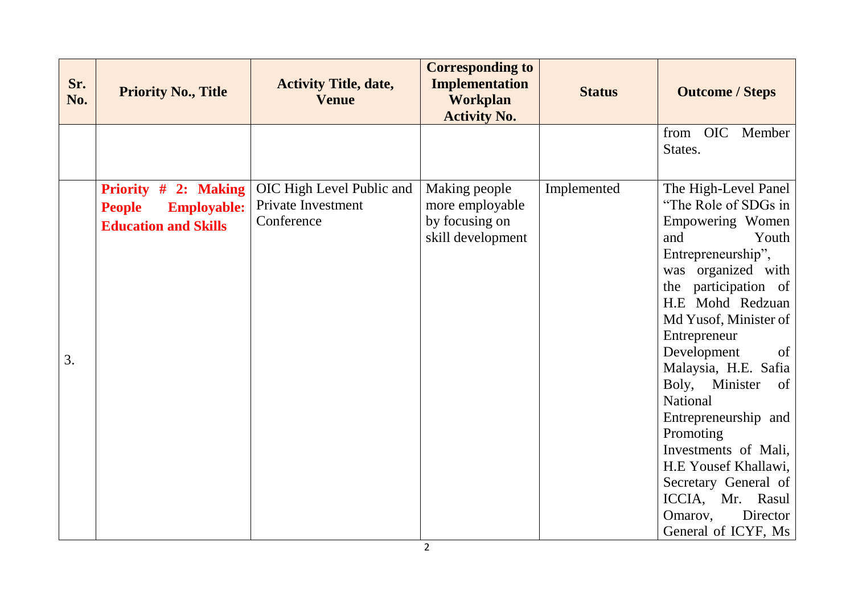| Sr.<br>No. | <b>Priority No., Title</b>                                                                 | <b>Activity Title, date,</b><br><b>Venue</b>                  | <b>Corresponding to</b><br><b>Implementation</b><br><b>Workplan</b><br><b>Activity No.</b> | <b>Status</b> | <b>Outcome / Steps</b>                                                                                                                                                                                                                                                                                                                                                                                                                                                            |
|------------|--------------------------------------------------------------------------------------------|---------------------------------------------------------------|--------------------------------------------------------------------------------------------|---------------|-----------------------------------------------------------------------------------------------------------------------------------------------------------------------------------------------------------------------------------------------------------------------------------------------------------------------------------------------------------------------------------------------------------------------------------------------------------------------------------|
|            |                                                                                            |                                                               |                                                                                            |               | <b>OIC</b><br>Member<br>from<br>States.                                                                                                                                                                                                                                                                                                                                                                                                                                           |
| 3.         | Priority # 2: Making<br><b>People</b><br><b>Employable:</b><br><b>Education and Skills</b> | OIC High Level Public and<br>Private Investment<br>Conference | Making people<br>more employable<br>by focusing on<br>skill development                    | Implemented   | The High-Level Panel<br>"The Role of SDGs in<br>Empowering Women<br>and<br>Youth<br>Entrepreneurship",<br>was organized with<br>the participation of<br>H.E Mohd Redzuan<br>Md Yusof, Minister of<br>Entrepreneur<br>Development<br>of<br>Malaysia, H.E. Safia<br>Boly, Minister<br>of<br>National<br>Entrepreneurship and<br>Promoting<br>Investments of Mali,<br>H.E Yousef Khallawi,<br>Secretary General of<br>ICCIA, Mr. Rasul<br>Omarov,<br>Director<br>General of ICYF, Ms |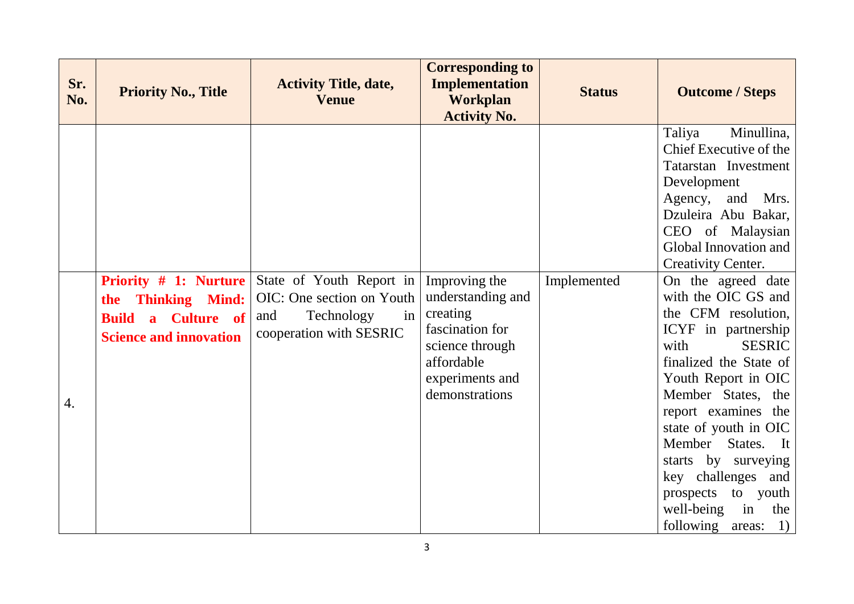| Sr.<br>No. | <b>Priority No., Title</b>                                                                                                                                    | <b>Activity Title, date,</b><br><b>Venue</b>                                                                | <b>Corresponding to</b><br><b>Implementation</b><br><b>Workplan</b><br><b>Activity No.</b>                                              | <b>Status</b> | <b>Outcome / Steps</b>                                                                                                                                                                                                                                                                                                                                                                                                                                                                                                                                                                                                              |
|------------|---------------------------------------------------------------------------------------------------------------------------------------------------------------|-------------------------------------------------------------------------------------------------------------|-----------------------------------------------------------------------------------------------------------------------------------------|---------------|-------------------------------------------------------------------------------------------------------------------------------------------------------------------------------------------------------------------------------------------------------------------------------------------------------------------------------------------------------------------------------------------------------------------------------------------------------------------------------------------------------------------------------------------------------------------------------------------------------------------------------------|
| 4.         | <b>Priority # 1: Nurture</b><br><b>Thinking Mind:</b><br>the<br><b>Culture</b> of<br><b>Build</b><br>$\overline{\mathbf{a}}$<br><b>Science and innovation</b> | State of Youth Report in<br>OIC: One section on Youth<br>Technology<br>in<br>and<br>cooperation with SESRIC | Improving the<br>understanding and<br>creating<br>fascination for<br>science through<br>affordable<br>experiments and<br>demonstrations | Implemented   | Minullina,<br>Taliya<br>Chief Executive of the<br>Tatarstan Investment<br>Development<br>Agency,<br>and Mrs.<br>Dzuleira Abu Bakar,<br>CEO of Malaysian<br>Global Innovation and<br><b>Creativity Center.</b><br>On the agreed date<br>with the OIC GS and<br>the CFM resolution,<br>ICYF in partnership<br><b>SESRIC</b><br>with<br>finalized the State of<br>Youth Report in OIC<br>Member States, the<br>report examines the<br>state of youth in OIC<br>Member States.<br>$\mathbf{I}$ t<br>starts by surveying<br>key challenges and<br>to youth<br>prospects<br>in<br>well-being<br>the<br>following<br>$ 1\rangle$<br>areas: |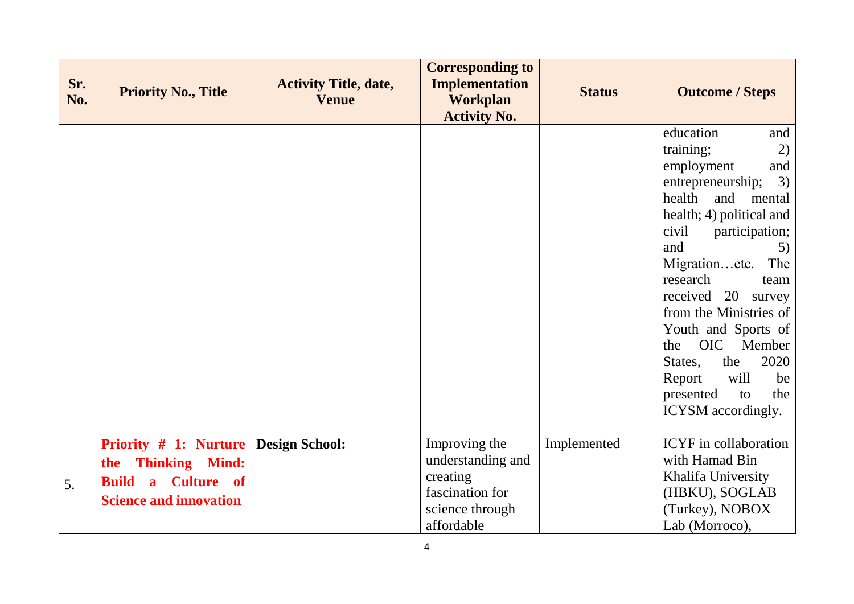| Sr.<br>No. | <b>Priority No., Title</b>                                                                                                    | <b>Activity Title, date,</b><br><b>Venue</b> | <b>Corresponding to</b><br><b>Implementation</b><br><b>Workplan</b><br><b>Activity No.</b>         | <b>Status</b> | <b>Outcome / Steps</b>                                                                                                                                                                                                                                                                                                                                                                                                       |
|------------|-------------------------------------------------------------------------------------------------------------------------------|----------------------------------------------|----------------------------------------------------------------------------------------------------|---------------|------------------------------------------------------------------------------------------------------------------------------------------------------------------------------------------------------------------------------------------------------------------------------------------------------------------------------------------------------------------------------------------------------------------------------|
|            |                                                                                                                               |                                              |                                                                                                    |               | education<br>and<br>2)<br>training;<br>employment<br>and<br>3)<br>entrepreneurship;<br>health<br>and<br>mental<br>health; 4) political and<br>civil<br>participation;<br>and<br>5)<br>Migrationetc.<br>The<br>research<br>team<br>received 20 survey<br>from the Ministries of<br>Youth and Sports of<br>OIC Member<br>the<br>2020<br>the<br>States,<br>will<br>Report<br>be<br>the<br>presented<br>to<br>ICYSM accordingly. |
| 5.         | <b>Priority # 1: Nurture</b><br><b>Thinking Mind:</b><br>the<br><b>Build</b><br>a Culture of<br><b>Science and innovation</b> | <b>Design School:</b>                        | Improving the<br>understanding and<br>creating<br>fascination for<br>science through<br>affordable | Implemented   | <b>ICYF</b> in collaboration<br>with Hamad Bin<br>Khalifa University<br>(HBKU), SOGLAB<br>(Turkey), NOBOX<br>Lab (Morroco),                                                                                                                                                                                                                                                                                                  |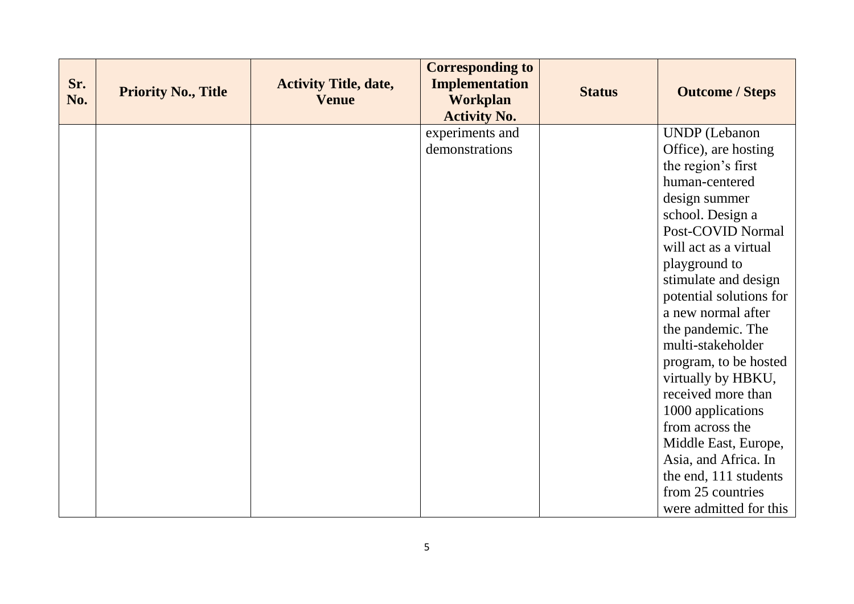| Sr.<br>No. | <b>Priority No., Title</b> | <b>Activity Title, date,</b><br><b>Venue</b> | <b>Corresponding to</b><br><b>Implementation</b><br><b>Workplan</b><br><b>Activity No.</b> | <b>Status</b> | <b>Outcome / Steps</b>  |
|------------|----------------------------|----------------------------------------------|--------------------------------------------------------------------------------------------|---------------|-------------------------|
|            |                            |                                              | experiments and                                                                            |               | <b>UNDP</b> (Lebanon    |
|            |                            |                                              | demonstrations                                                                             |               | Office), are hosting    |
|            |                            |                                              |                                                                                            |               | the region's first      |
|            |                            |                                              |                                                                                            |               | human-centered          |
|            |                            |                                              |                                                                                            |               | design summer           |
|            |                            |                                              |                                                                                            |               | school. Design a        |
|            |                            |                                              |                                                                                            |               | Post-COVID Normal       |
|            |                            |                                              |                                                                                            |               | will act as a virtual   |
|            |                            |                                              |                                                                                            |               | playground to           |
|            |                            |                                              |                                                                                            |               | stimulate and design    |
|            |                            |                                              |                                                                                            |               | potential solutions for |
|            |                            |                                              |                                                                                            |               | a new normal after      |
|            |                            |                                              |                                                                                            |               | the pandemic. The       |
|            |                            |                                              |                                                                                            |               | multi-stakeholder       |
|            |                            |                                              |                                                                                            |               | program, to be hosted   |
|            |                            |                                              |                                                                                            |               | virtually by HBKU,      |
|            |                            |                                              |                                                                                            |               | received more than      |
|            |                            |                                              |                                                                                            |               | 1000 applications       |
|            |                            |                                              |                                                                                            |               | from across the         |
|            |                            |                                              |                                                                                            |               | Middle East, Europe,    |
|            |                            |                                              |                                                                                            |               | Asia, and Africa. In    |
|            |                            |                                              |                                                                                            |               | the end, 111 students   |
|            |                            |                                              |                                                                                            |               | from 25 countries       |
|            |                            |                                              |                                                                                            |               | were admitted for this  |